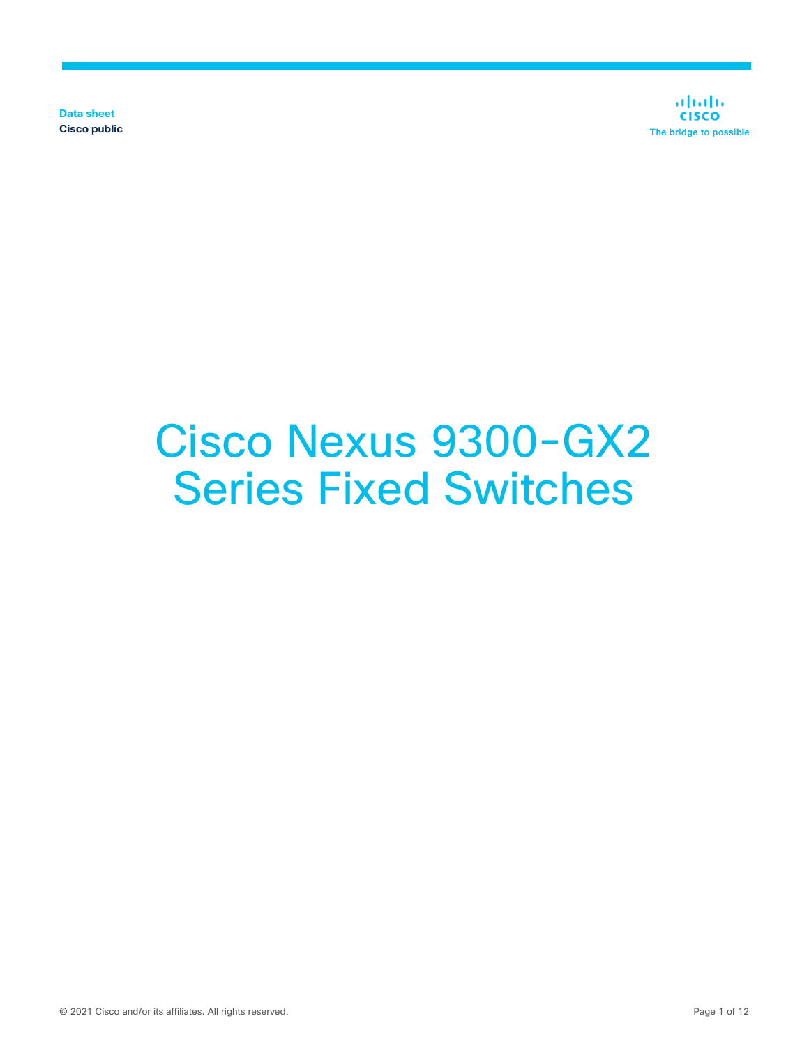**Data sheet Cisco public**

aludu **CISCO** The bridge to possible

# Cisco Nexus 9300-GX2 Series Fixed Switches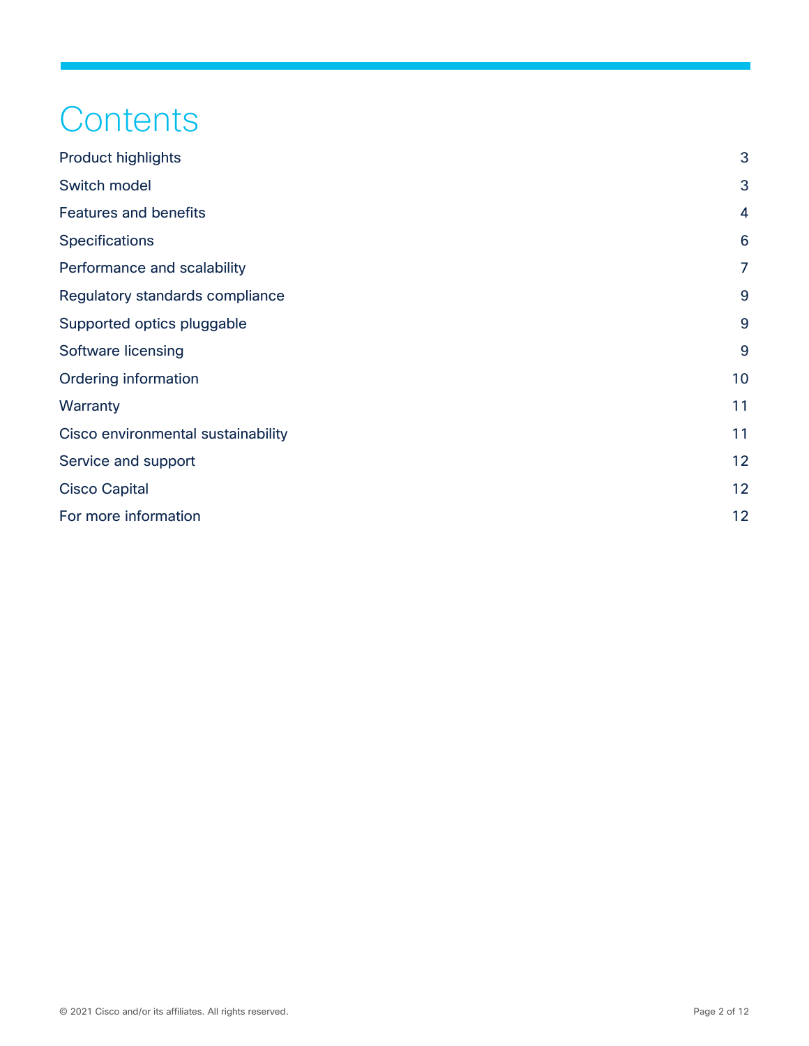## **Contents**

| <b>Product highlights</b>          | 3              |
|------------------------------------|----------------|
| Switch model                       | 3              |
| <b>Features and benefits</b>       | 4              |
| <b>Specifications</b>              | 6              |
| Performance and scalability        | $\overline{7}$ |
| Regulatory standards compliance    | 9              |
| Supported optics pluggable         | 9              |
| Software licensing                 | 9              |
| Ordering information               | 10             |
| Warranty                           | 11             |
| Cisco environmental sustainability | 11             |
| Service and support                | 12             |
| <b>Cisco Capital</b>               | 12             |
| For more information               | 12             |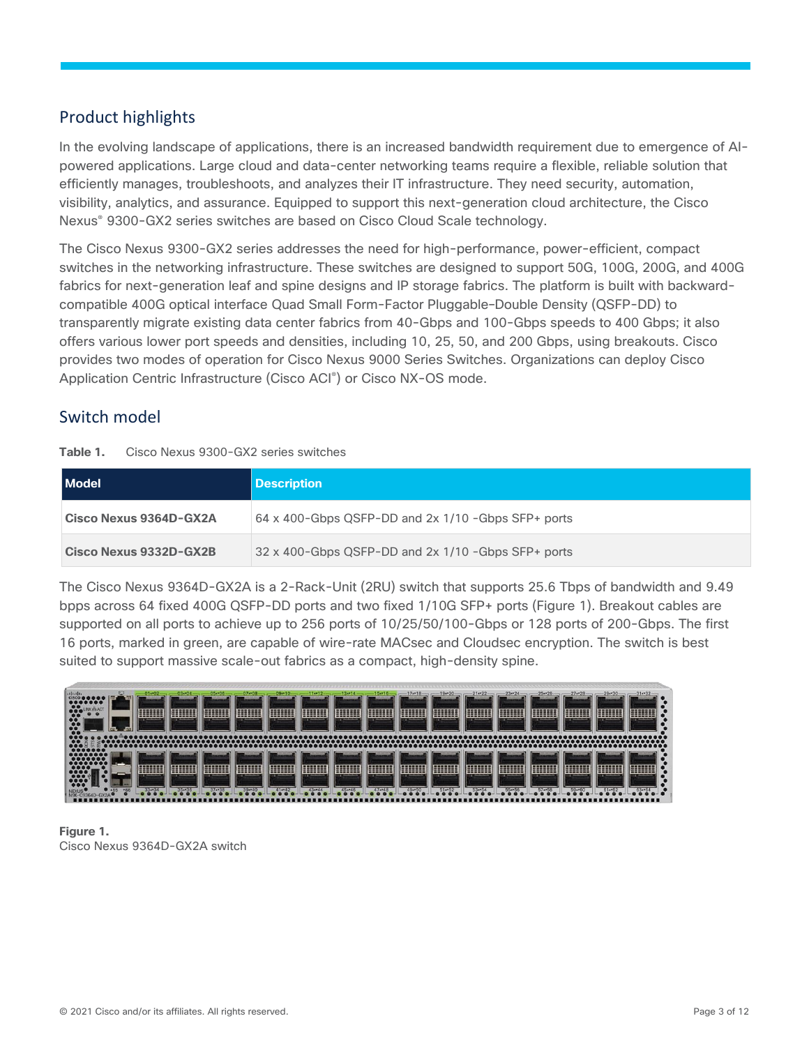#### <span id="page-2-0"></span>Product highlights

In the evolving landscape of applications, there is an increased bandwidth requirement due to emergence of AIpowered applications. Large cloud and data-center networking teams require a flexible, reliable solution that efficiently manages, troubleshoots, and analyzes their IT infrastructure. They need security, automation, visibility, analytics, and assurance. Equipped to support this next-generation cloud architecture, the Cisco Nexus® 9300-GX2 series switches are based on Cisco Cloud Scale technology.

The Cisco Nexus 9300-GX2 series addresses the need for high-performance, power-efficient, compact switches in the networking infrastructure. These switches are designed to support 50G, 100G, 200G, and 400G fabrics for next-generation leaf and spine designs and IP storage fabrics. The platform is built with backwardcompatible 400G optical interface Quad Small Form-Factor Pluggable–Double Density (QSFP-DD) to transparently migrate existing data center fabrics from 40-Gbps and 100-Gbps speeds to 400 Gbps; it also offers various lower port speeds and densities, including 10, 25, 50, and 200 Gbps, using breakouts. Cisco provides two modes of operation for Cisco Nexus 9000 Series Switches. Organizations can deploy Cisco Application Centric Infrastructure (Cisco ACI® ) or Cisco NX-OS mode.

#### <span id="page-2-1"></span>Switch model

| Table 1. | Cisco Nexus 9300-GX2 series switches |  |  |  |
|----------|--------------------------------------|--|--|--|
|----------|--------------------------------------|--|--|--|

| <b>Model</b>           | <b>Description</b>                                   |
|------------------------|------------------------------------------------------|
| Cisco Nexus 9364D-GX2A | 64 x 400-Gbps QSFP-DD and $2x$ 1/10 -Gbps SFP+ ports |
| Cisco Nexus 9332D-GX2B | 32 x 400-Gbps QSFP-DD and 2x 1/10 -Gbps SFP+ ports   |

The Cisco Nexus 9364D-GX2A is a 2-Rack-Unit (2RU) switch that supports 25.6 Tbps of bandwidth and 9.49 bpps across 64 fixed 400G QSFP-DD ports and two fixed 1/10G SFP+ ports (Figure 1). Breakout cables are supported on all ports to achieve up to 256 ports of 10/25/50/100-Gbps or 128 ports of 200-Gbps. The first 16 ports, marked in green, are capable of wire-rate MACsec and Cloudsec encryption. The switch is best suited to support massive scale-out fabrics as a compact, high-density spine.



**Figure 1.**  Cisco Nexus 9364D-GX2A switch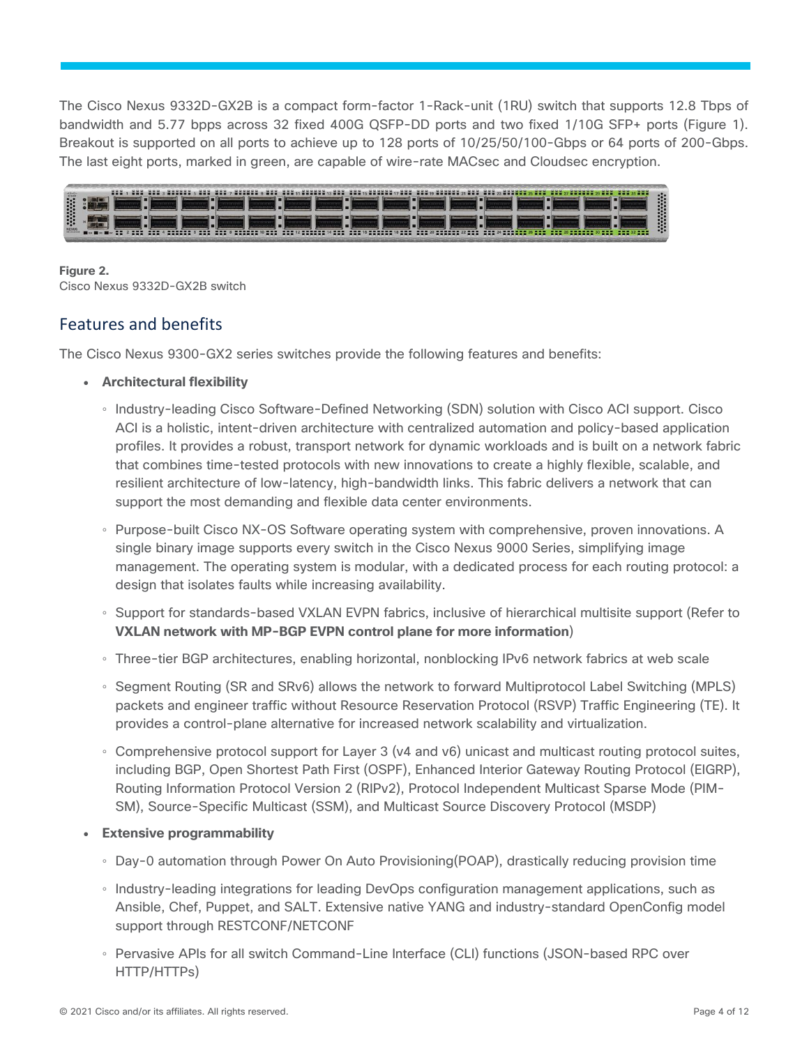The Cisco Nexus 9332D-GX2B is a compact form-factor 1-Rack-unit (1RU) switch that supports 12.8 Tbps of bandwidth and 5.77 bpps across 32 fixed 400G QSFP-DD ports and two fixed 1/10G SFP+ ports (Figure 1). Breakout is supported on all ports to achieve up to 128 ports of 10/25/50/100-Gbps or 64 ports of 200-Gbps. The last eight ports, marked in green, are capable of wire-rate MACsec and Cloudsec encryption.



#### **Figure 2.**

Cisco Nexus 9332D-GX2B switch

#### <span id="page-3-0"></span>Features and benefits

The Cisco Nexus 9300-GX2 series switches provide the following features and benefits:

- **Architectural flexibility**
	- Industry-leading Cisco Software-Defined Networking (SDN) solution with Cisco ACI support. Cisco ACI is a holistic, intent-driven architecture with centralized automation and policy-based application profiles. It provides a robust, transport network for dynamic workloads and is built on a network fabric that combines time-tested protocols with new innovations to create a highly flexible, scalable, and resilient architecture of low-latency, high-bandwidth links. This fabric delivers a network that can support the most demanding and flexible data center environments.
	- Purpose-built Cisco NX-OS Software operating system with comprehensive, proven innovations. A single binary image supports every switch in the Cisco Nexus 9000 Series, simplifying image management. The operating system is modular, with a dedicated process for each routing protocol: a design that isolates faults while increasing availability.
	- Support for standards-based VXLAN EVPN fabrics, inclusive of hierarchical multisite support (Refer to **VXLAN network with MP-BGP EVPN control plane for more information**)
	- Three-tier BGP architectures, enabling horizontal, nonblocking IPv6 network fabrics at web scale
	- Segment Routing (SR and SRv6) allows the network to forward Multiprotocol Label Switching (MPLS) packets and engineer traffic without Resource Reservation Protocol (RSVP) Traffic Engineering (TE). It provides a control-plane alternative for increased network scalability and virtualization.
	- Comprehensive protocol support for Layer 3 (v4 and v6) unicast and multicast routing protocol suites, including BGP, Open Shortest Path First (OSPF), Enhanced Interior Gateway Routing Protocol (EIGRP), Routing Information Protocol Version 2 (RIPv2), Protocol Independent Multicast Sparse Mode (PIM-SM), Source-Specific Multicast (SSM), and Multicast Source Discovery Protocol (MSDP)
- **Extensive programmability**
	- Day-0 automation through Power On Auto Provisioning(POAP), drastically reducing provision time
	- Industry-leading integrations for leading DevOps configuration management applications, such as Ansible, Chef, Puppet, and SALT. Extensive native YANG and industry-standard OpenConfig model support through RESTCONF/NETCONF
	- Pervasive APIs for all switch Command-Line Interface (CLI) functions (JSON-based RPC over HTTP/HTTPs)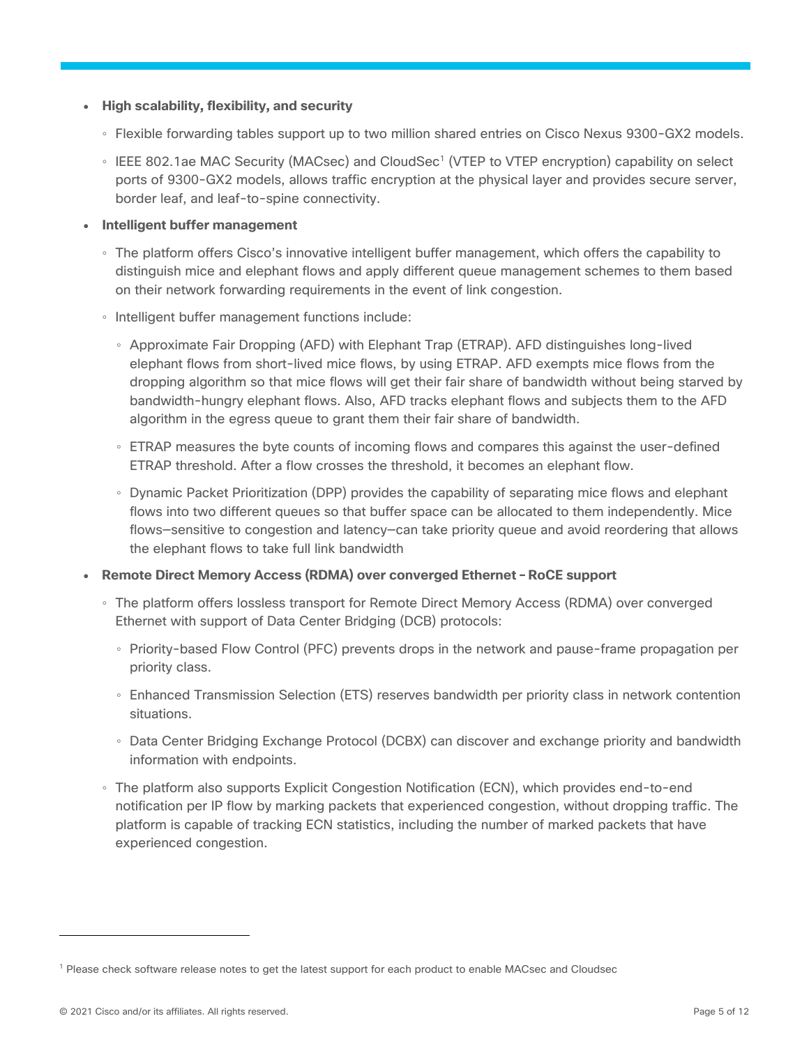- **High scalability, flexibility, and security**
	- Flexible forwarding tables support up to two million shared entries on Cisco Nexus 9300-GX2 models.
	- IEEE 802.1ae MAC Security (MACsec) and CloudSec<sup>1</sup> (VTEP to VTEP encryption) capability on select ports of 9300-GX2 models, allows traffic encryption at the physical layer and provides secure server, border leaf, and leaf-to-spine connectivity.
- **Intelligent buffer management**
	- The platform offers Cisco's innovative intelligent buffer management, which offers the capability to distinguish mice and elephant flows and apply different queue management schemes to them based on their network forwarding requirements in the event of link congestion.
	- Intelligent buffer management functions include:
		- Approximate Fair Dropping (AFD) with Elephant Trap (ETRAP). AFD distinguishes long-lived elephant flows from short-lived mice flows, by using ETRAP. AFD exempts mice flows from the dropping algorithm so that mice flows will get their fair share of bandwidth without being starved by bandwidth-hungry elephant flows. Also, AFD tracks elephant flows and subjects them to the AFD algorithm in the egress queue to grant them their fair share of bandwidth.
		- ETRAP measures the byte counts of incoming flows and compares this against the user-defined ETRAP threshold. After a flow crosses the threshold, it becomes an elephant flow.
		- Dynamic Packet Prioritization (DPP) provides the capability of separating mice flows and elephant flows into two different queues so that buffer space can be allocated to them independently. Mice flows—sensitive to congestion and latency—can take priority queue and avoid reordering that allows the elephant flows to take full link bandwidth
- **Remote Direct Memory Access (RDMA) over converged Ethernet – RoCE support**
	- The platform offers lossless transport for Remote Direct Memory Access (RDMA) over converged Ethernet with support of Data Center Bridging (DCB) protocols:
		- Priority-based Flow Control (PFC) prevents drops in the network and pause-frame propagation per priority class.
		- Enhanced Transmission Selection (ETS) reserves bandwidth per priority class in network contention situations.
		- Data Center Bridging Exchange Protocol (DCBX) can discover and exchange priority and bandwidth information with endpoints.
	- The platform also supports Explicit Congestion Notification (ECN), which provides end-to-end notification per IP flow by marking packets that experienced congestion, without dropping traffic. The platform is capable of tracking ECN statistics, including the number of marked packets that have experienced congestion.

 $\overline{a}$ 

<sup>1</sup> Please check software release notes to get the latest support for each product to enable MACsec and Cloudsec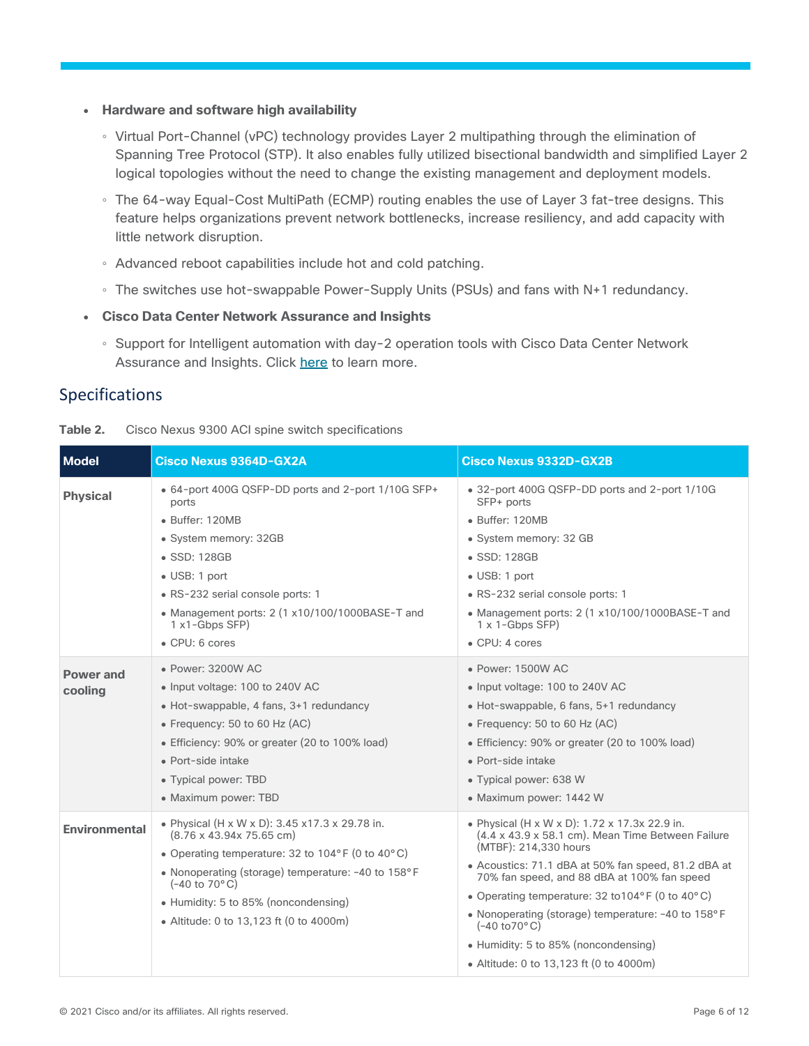- **Hardware and software high availability**
	- Virtual Port-Channel (vPC) technology provides Layer 2 multipathing through the elimination of Spanning Tree Protocol (STP). It also enables fully utilized bisectional bandwidth and simplified Layer 2 logical topologies without the need to change the existing management and deployment models.
	- The 64-way Equal-Cost MultiPath (ECMP) routing enables the use of Layer 3 fat-tree designs. This feature helps organizations prevent network bottlenecks, increase resiliency, and add capacity with little network disruption.
	- Advanced reboot capabilities include hot and cold patching.
	- The switches use hot-swappable Power-Supply Units (PSUs) and fans with N+1 redundancy.
- **Cisco Data Center Network Assurance and Insights**
	- Support for Intelligent automation with day-2 operation tools with Cisco Data Center Network Assurance and Insights. Click [here](https://www.cisco.com/c/en/us/products/data-center-analytics/index.html#~products) to learn more.

#### <span id="page-5-0"></span>Specifications

<span id="page-5-1"></span>

| <b>Model</b>                | Cisco Nexus 9364D-GX2A                                                                                                                                                                                                                                                                                                                              | <b>Cisco Nexus 9332D-GX2B</b>                                                                                                                                                                                                                                                                                                                                                                                                                                             |
|-----------------------------|-----------------------------------------------------------------------------------------------------------------------------------------------------------------------------------------------------------------------------------------------------------------------------------------------------------------------------------------------------|---------------------------------------------------------------------------------------------------------------------------------------------------------------------------------------------------------------------------------------------------------------------------------------------------------------------------------------------------------------------------------------------------------------------------------------------------------------------------|
| <b>Physical</b>             | • 64-port 400G QSFP-DD ports and 2-port 1/10G SFP+<br>ports<br>• Buffer: 120MB<br>• System memory: 32GB<br>$\bullet$ SSD: 128GB<br>• USB: 1 port<br>• RS-232 serial console ports: 1<br>• Management ports: 2 (1 x10/100/1000BASE-T and<br>$1x1-Gbps SFP$<br>$\bullet$ CPU: 6 cores                                                                 | • 32-port 400G QSFP-DD ports and 2-port 1/10G<br>SFP+ ports<br>• Buffer: 120MB<br>• System memory: 32 GB<br>$\bullet$ SSD: 128GB<br>· USB: 1 port<br>• RS-232 serial console ports: 1<br>• Management ports: $2(1 \times 10/100/1000BASE-T$ and<br>$1 \times 1$ -Gbps SFP)<br>$\bullet$ CPU: 4 cores                                                                                                                                                                      |
| <b>Power and</b><br>cooling | • Power: 3200W AC<br>• Input voltage: 100 to 240V AC<br>• Hot-swappable, 4 fans, 3+1 redundancy<br>• Frequency: 50 to 60 Hz $(AC)$<br>• Efficiency: 90% or greater (20 to 100% load)<br>• Port-side intake<br>• Typical power: TBD<br>• Maximum power: TBD                                                                                          | • Power: 1500W AC<br>• Input voltage: 100 to 240V AC<br>• Hot-swappable, 6 fans, 5+1 redundancy<br>• Frequency: 50 to 60 Hz $(AC)$<br>• Efficiency: 90% or greater (20 to 100% load)<br>• Port-side intake<br>• Typical power: 638 W<br>• Maximum power: 1442 W                                                                                                                                                                                                           |
| <b>Environmental</b>        | • Physical (H x W x D): 3.45 x17.3 x 29.78 in.<br>$(8.76 \times 43.94 \times 75.65$ cm)<br>• Operating temperature: 32 to $104^{\circ}$ F (0 to $40^{\circ}$ C)<br>• Nonoperating (storage) temperature: -40 to 158°F<br>$(-40 \text{ to } 70^{\circ} \text{C})$<br>• Humidity: 5 to 85% (noncondensing)<br>• Altitude: 0 to 13,123 ft (0 to 4000m) | • Physical (H x W x D): 1.72 x 17.3x 22.9 in.<br>(4.4 x 43.9 x 58.1 cm). Mean Time Between Failure<br>(MTBF): 214,330 hours<br>• Acoustics: 71.1 dBA at 50% fan speed, 81.2 dBA at<br>70% fan speed, and 88 dBA at 100% fan speed<br>• Operating temperature: 32 to 104°F (0 to 40°C)<br>• Nonoperating (storage) temperature: -40 to 158°F<br>$(-40 \text{ to } 70^{\circ} \text{C})$<br>• Humidity: 5 to 85% (noncondensing)<br>• Altitude: 0 to 13,123 ft (0 to 4000m) |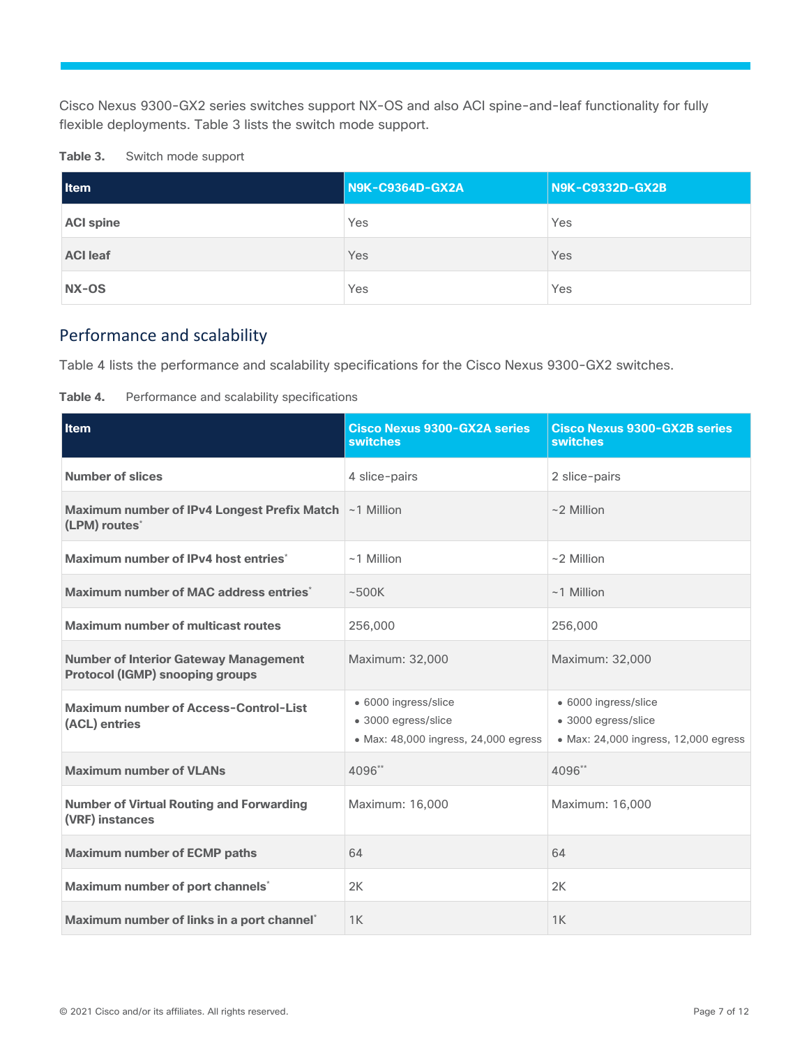Cisco Nexus 9300-GX2 series switches support NX-OS and also ACI spine-and-leaf functionality for fully flexible deployments. Table 3 lists the switch mode support.

| Table 3. |  |  | Switch mode support |
|----------|--|--|---------------------|
|----------|--|--|---------------------|

| <b>I</b> tem     | <b>N9K-C9364D-GX2A</b> | <b>N9K-C9332D-GX2B</b> |  |
|------------------|------------------------|------------------------|--|
| <b>ACI spine</b> | Yes                    | Yes                    |  |
| <b>ACI leaf</b>  | Yes                    | Yes                    |  |
| NX-OS            | Yes                    | Yes                    |  |

#### <span id="page-6-0"></span>Performance and scalability

Table 4 lists the performance and scalability specifications for the Cisco Nexus 9300-GX2 switches.

| Table 4. |  |  |  | Performance and scalability specifications |
|----------|--|--|--|--------------------------------------------|
|----------|--|--|--|--------------------------------------------|

| Item                                                                                   | <b>Cisco Nexus 9300-GX2A series</b><br><b>switches</b>                              | <b>Cisco Nexus 9300-GX2B series</b><br><b>switches</b>                              |  |
|----------------------------------------------------------------------------------------|-------------------------------------------------------------------------------------|-------------------------------------------------------------------------------------|--|
| <b>Number of slices</b>                                                                | 4 slice-pairs                                                                       | 2 slice-pairs                                                                       |  |
| Maximum number of IPv4 Longest Prefix Match ~1 Million<br>(LPM) routes <sup>*</sup>    |                                                                                     | $~2$ Million                                                                        |  |
| Maximum number of IPv4 host entries*                                                   | $~1$ Million                                                                        | $~2$ Million                                                                        |  |
| Maximum number of MAC address entries <sup>*</sup>                                     | ~500K                                                                               | $~1$ Million                                                                        |  |
| <b>Maximum number of multicast routes</b>                                              | 256,000                                                                             | 256,000                                                                             |  |
| <b>Number of Interior Gateway Management</b><br><b>Protocol (IGMP) snooping groups</b> | Maximum: 32,000                                                                     | Maximum: 32,000                                                                     |  |
| Maximum number of Access-Control-List<br>(ACL) entries                                 | · 6000 ingress/slice<br>• 3000 egress/slice<br>• Max: 48,000 ingress, 24,000 egress | • 6000 ingress/slice<br>• 3000 egress/slice<br>• Max: 24,000 ingress, 12,000 egress |  |
| <b>Maximum number of VLANs</b>                                                         | 4096**                                                                              | 4096**                                                                              |  |
| <b>Number of Virtual Routing and Forwarding</b><br>(VRF) instances                     | Maximum: 16,000                                                                     | Maximum: 16,000                                                                     |  |
| <b>Maximum number of ECMP paths</b>                                                    | 64                                                                                  | 64                                                                                  |  |
| Maximum number of port channels*                                                       | 2K                                                                                  | 2K                                                                                  |  |
| Maximum number of links in a port channel*                                             | 1K                                                                                  | 1K                                                                                  |  |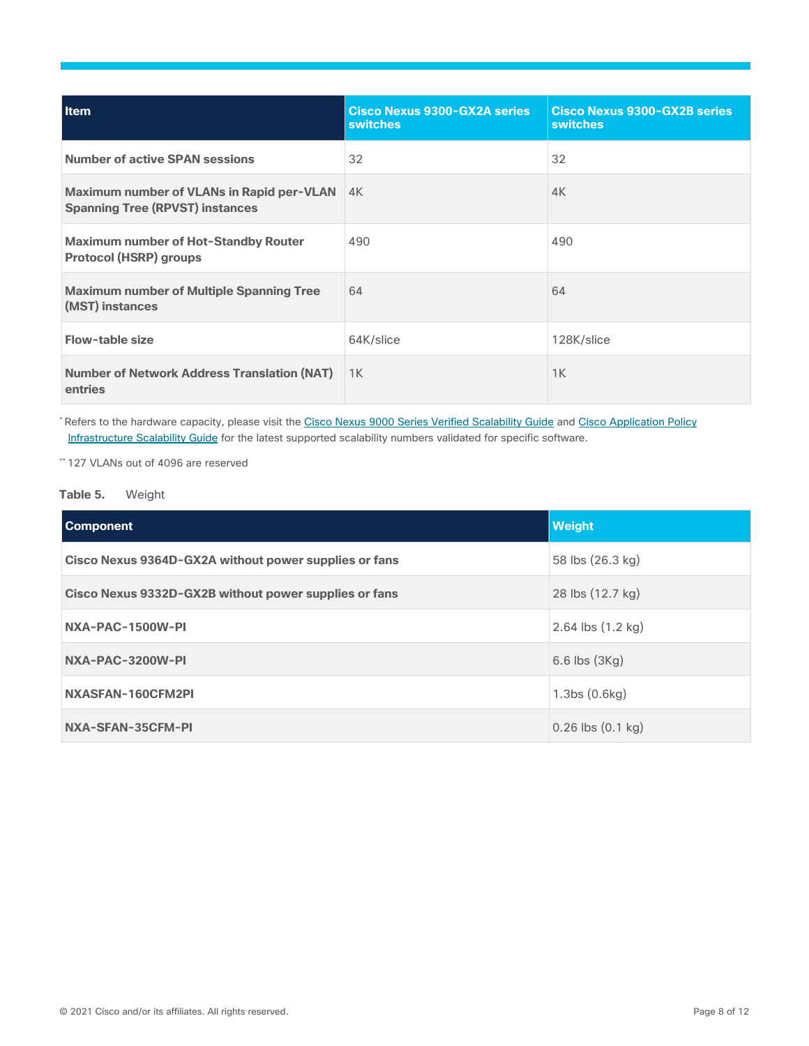| Item                                                                                | Cisco Nexus 9300-GX2A series<br><b>switches</b> | <b>Cisco Nexus 9300-GX2B series</b><br><b>switches</b> |
|-------------------------------------------------------------------------------------|-------------------------------------------------|--------------------------------------------------------|
| <b>Number of active SPAN sessions</b>                                               | 32                                              | 32                                                     |
| Maximum number of VLANs in Rapid per-VLAN<br><b>Spanning Tree (RPVST) instances</b> | 4K                                              | 4K                                                     |
| <b>Maximum number of Hot-Standby Router</b><br><b>Protocol (HSRP) groups</b>        | 490                                             | 490                                                    |
| <b>Maximum number of Multiple Spanning Tree</b><br>(MST) instances                  | 64                                              | 64                                                     |
| Flow-table size                                                                     | 64K/slice                                       | 128K/slice                                             |
| <b>Number of Network Address Translation (NAT)</b><br>entries                       | 1K                                              | 1K                                                     |

\* Refers to the hardware capacity, please visit th[e Cisco Nexus 9000 Series Verified Scalability Guide](https://www.cisco.com/c/en/us/support/switches/nexus-9000-series-switches/products-installation-and-configuration-guides-list.html) and Cisco Application Policy [Infrastructure Scalability Guide](https://www.cisco.com/c/en/us/support/cloud-systems-management/application-policy-infrastructure-controller-apic/tsd-products-support-series-home.html) for the latest supported scalability numbers validated for specific software.

\*\* 127 VLANs out of 4096 are reserved

#### **Table 5.** Weight

| <b>Component</b>                                      | <b>Weight</b>                          |
|-------------------------------------------------------|----------------------------------------|
| Cisco Nexus 9364D-GX2A without power supplies or fans | 58 lbs (26.3 kg)                       |
| Cisco Nexus 9332D-GX2B without power supplies or fans | 28 lbs (12.7 kg)                       |
| NXA-PAC-1500W-PI                                      | 2.64 lbs $(1.2 \text{ kg})$            |
| NXA-PAC-3200W-PI                                      | 6.6 lbs (3Kg)                          |
| NXASFAN-160CFM2PI                                     | 1.3 <sub>bs</sub> (0.6 <sub>kg</sub> ) |
| NXA-SFAN-35CFM-PI                                     | $0.26$ lbs $(0.1$ kg)                  |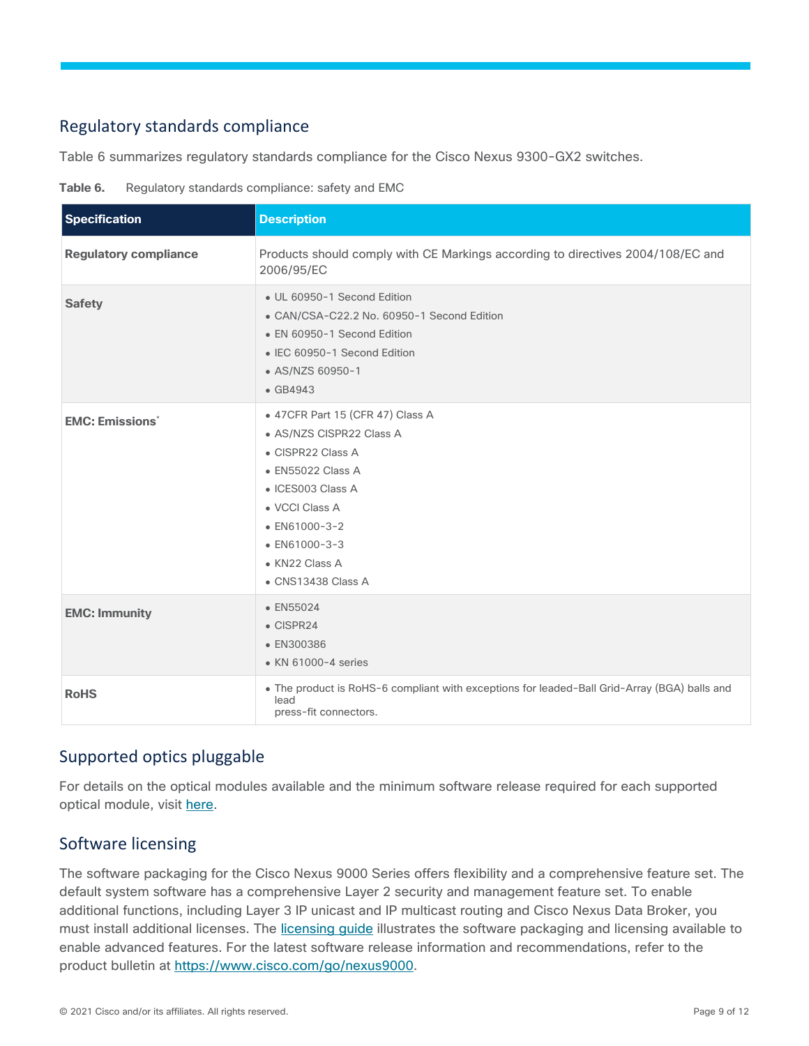#### <span id="page-8-0"></span>Regulatory standards compliance

Table 6 summarizes regulatory standards compliance for the Cisco Nexus 9300-GX2 switches.

<span id="page-8-3"></span>

| Table 6. |  | Regulatory standards compliance: safety and EMC |  |  |
|----------|--|-------------------------------------------------|--|--|

| <b>Specification</b>              | <b>Description</b>                                                                                                                                                                                                                       |
|-----------------------------------|------------------------------------------------------------------------------------------------------------------------------------------------------------------------------------------------------------------------------------------|
| <b>Regulatory compliance</b>      | Products should comply with CE Markings according to directives 2004/108/EC and<br>2006/95/EC                                                                                                                                            |
| <b>Safety</b>                     | • UL 60950-1 Second Edition<br>• CAN/CSA-C22.2 No. 60950-1 Second Edition<br>• EN 60950-1 Second Edition<br>• IEC 60950-1 Second Edition<br>• AS/NZS 60950-1<br>$\bullet$ GB4943                                                         |
| <b>EMC: Emissions<sup>*</sup></b> | • 47 CFR Part 15 (CFR 47) Class A<br>• AS/NZS CISPR22 Class A<br>• CISPR22 Class A<br>• EN55022 Class A<br>· ICES003 Class A<br>• VCCI Class A<br>$\bullet$ EN61000-3-2<br>$\bullet$ EN61000-3-3<br>• KN22 Class A<br>• CNS13438 Class A |
| <b>EMC: Immunity</b>              | • EN55024<br>$\bullet$ CISPR24<br>• EN300386<br>• KN 61000-4 series                                                                                                                                                                      |
| <b>RoHS</b>                       | . The product is RoHS-6 compliant with exceptions for leaded-Ball Grid-Array (BGA) balls and<br>lead<br>press-fit connectors.                                                                                                            |

#### <span id="page-8-1"></span>Supported optics pluggable

For details on the optical modules available and the minimum software release required for each supported optical module, visit [here.](https://www.cisco.com/en/US/products/hw/modules/ps5455/products_device_support_table_list.html)

#### <span id="page-8-2"></span>Software licensing

The software packaging for the Cisco Nexus 9000 Series offers flexibility and a comprehensive feature set. The default system software has a comprehensive Layer 2 security and management feature set. To enable additional functions, including Layer 3 IP unicast and IP multicast routing and Cisco Nexus Data Broker, you must install additional licenses. The licensing quide illustrates the software packaging and licensing available to enable advanced features. For the latest software release information and recommendations, refer to the product bulletin at [https://www.cisco.com/go/nexus9000.](https://www.cisco.com/go/nexus9000)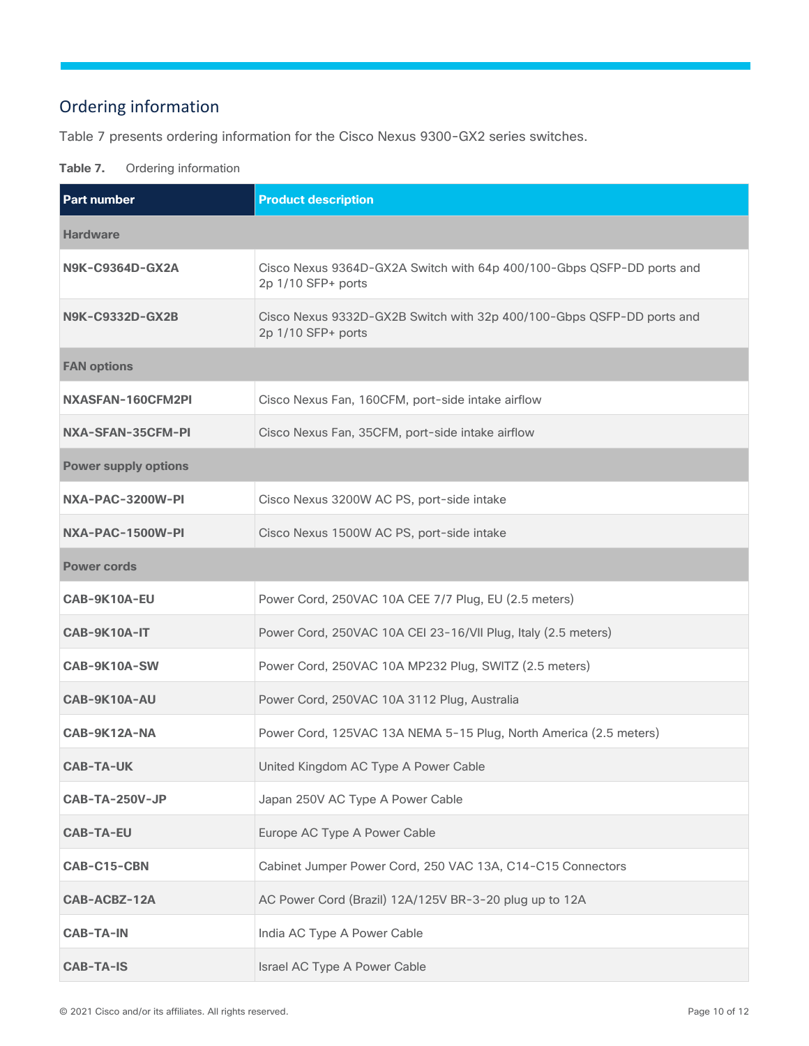### <span id="page-9-0"></span>Ordering information

Table 7 presents ordering information for the Cisco Nexus 9300-GX2 series switches.

#### **Table 7.** Ordering information

| <b>Part number</b>          | <b>Product description</b>                                                                  |
|-----------------------------|---------------------------------------------------------------------------------------------|
| <b>Hardware</b>             |                                                                                             |
| N9K-C9364D-GX2A             | Cisco Nexus 9364D-GX2A Switch with 64p 400/100-Gbps QSFP-DD ports and<br>2p 1/10 SFP+ ports |
| N9K-C9332D-GX2B             | Cisco Nexus 9332D-GX2B Switch with 32p 400/100-Gbps QSFP-DD ports and<br>2p 1/10 SFP+ ports |
| <b>FAN options</b>          |                                                                                             |
| NXASFAN-160CFM2PI           | Cisco Nexus Fan, 160CFM, port-side intake airflow                                           |
| NXA-SFAN-35CFM-PI           | Cisco Nexus Fan, 35CFM, port-side intake airflow                                            |
| <b>Power supply options</b> |                                                                                             |
| NXA-PAC-3200W-PI            | Cisco Nexus 3200W AC PS, port-side intake                                                   |
| NXA-PAC-1500W-PI            | Cisco Nexus 1500W AC PS, port-side intake                                                   |
| <b>Power cords</b>          |                                                                                             |
| CAB-9K10A-EU                | Power Cord, 250VAC 10A CEE 7/7 Plug, EU (2.5 meters)                                        |
| CAB-9K10A-IT                | Power Cord, 250VAC 10A CEI 23-16/VII Plug, Italy (2.5 meters)                               |
| CAB-9K10A-SW                | Power Cord, 250VAC 10A MP232 Plug, SWITZ (2.5 meters)                                       |
| CAB-9K10A-AU                | Power Cord, 250VAC 10A 3112 Plug, Australia                                                 |
| CAB-9K12A-NA                | Power Cord, 125VAC 13A NEMA 5-15 Plug, North America (2.5 meters)                           |
| <b>CAB-TA-UK</b>            | United Kingdom AC Type A Power Cable                                                        |
| CAB-TA-250V-JP              | Japan 250V AC Type A Power Cable                                                            |
| <b>CAB-TA-EU</b>            | Europe AC Type A Power Cable                                                                |
| CAB-C15-CBN                 | Cabinet Jumper Power Cord, 250 VAC 13A, C14-C15 Connectors                                  |
| CAB-ACBZ-12A                | AC Power Cord (Brazil) 12A/125V BR-3-20 plug up to 12A                                      |
| <b>CAB-TA-IN</b>            | India AC Type A Power Cable                                                                 |
| <b>CAB-TA-IS</b>            | Israel AC Type A Power Cable                                                                |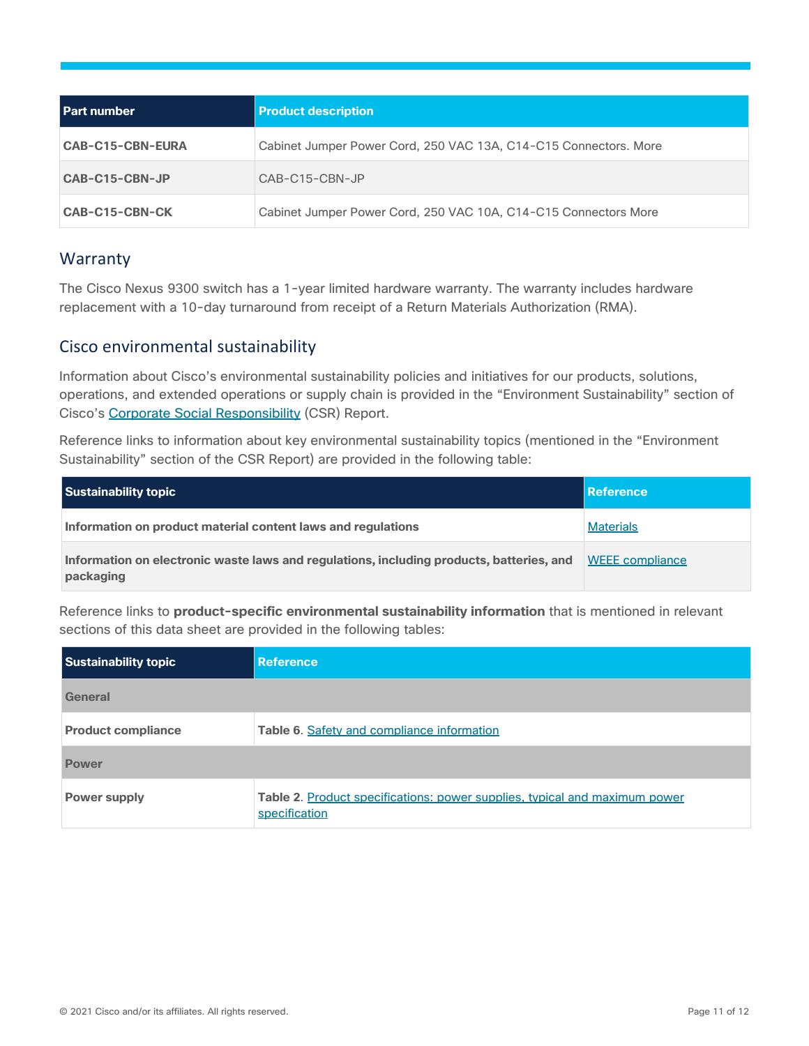| <b>Part number</b>      | <b>Product description</b>                                       |
|-------------------------|------------------------------------------------------------------|
| <b>CAB-C15-CBN-EURA</b> | Cabinet Jumper Power Cord, 250 VAC 13A, C14-C15 Connectors. More |
| CAB-C15-CBN-JP          | CAB-C15-CBN-JP                                                   |
| CAB-C15-CBN-CK          | Cabinet Jumper Power Cord, 250 VAC 10A, C14-C15 Connectors More  |

#### <span id="page-10-0"></span>Warranty

The Cisco Nexus 9300 switch has a 1-year limited hardware warranty. The warranty includes hardware replacement with a 10-day turnaround from receipt of a Return Materials Authorization (RMA).

#### <span id="page-10-1"></span>Cisco environmental sustainability

Information about Cisco's environmental sustainability policies and initiatives for our products, solutions, operations, and extended operations or supply chain is provided in the "Environment Sustainability" section of Cisco's [Corporate Social Responsibility](https://www-1.compliance2product.com/c2p/getAttachment.do?code=YM6Y0yThdO6Wj1FxxYPYfUG2dtFkTeFWGpzLRO8tcURFEifUCRV403Tq2ZMWP6Ai) (CSR) Report.

Reference links to information about key environmental sustainability topics (mentioned in the "Environment Sustainability" section of the CSR Report) are provided in the following table:

| <b>Sustainability topic</b>                                                                           | <b>Reference</b>       |
|-------------------------------------------------------------------------------------------------------|------------------------|
| Information on product material content laws and regulations                                          | <b>Materials</b>       |
| Information on electronic waste laws and regulations, including products, batteries, and<br>packaging | <b>WEEE</b> compliance |

Reference links to **product-specific environmental sustainability information** that is mentioned in relevant sections of this data sheet are provided in the following tables:

| <b>Sustainability topic</b> | <b>Reference</b>                                                                            |
|-----------------------------|---------------------------------------------------------------------------------------------|
| General                     |                                                                                             |
| <b>Product compliance</b>   | Table 6. Safety and compliance information                                                  |
| <b>Power</b>                |                                                                                             |
| <b>Power supply</b>         | Table 2. Product specifications: power supplies, typical and maximum power<br>specification |